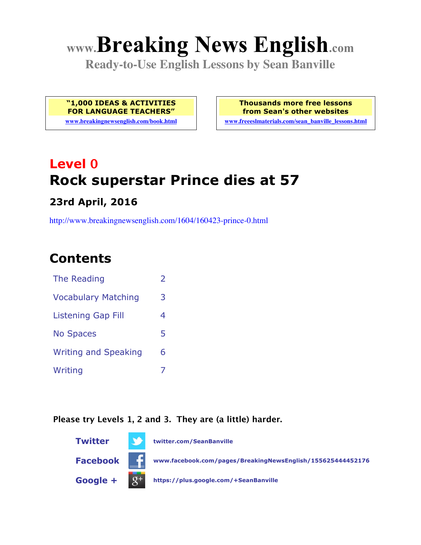# **www.Breaking News English.com**

**Ready-to-Use English Lessons by Sean Banville**

**"1,000 IDEAS & ACTIVITIES FOR LANGUAGE TEACHERS" www.breakingnewsenglish.com/book.html** **Thousands more free lessons from Sean's other websites**

**www.freeeslmaterials.com/sean\_banville\_lessons.html**

# **Level 0 Rock superstar Prince dies at 57**

**23rd April, 2016**

http://www.breakingnewsenglish.com/1604/160423-prince-0.html

# **Contents**

| The Reading                 | フ |
|-----------------------------|---|
| <b>Vocabulary Matching</b>  | 3 |
| <b>Listening Gap Fill</b>   | 4 |
| <b>No Spaces</b>            | 5 |
| <b>Writing and Speaking</b> | 6 |
| Writing                     |   |

#### **Please try Levels 1, 2 and 3. They are (a little) harder.**

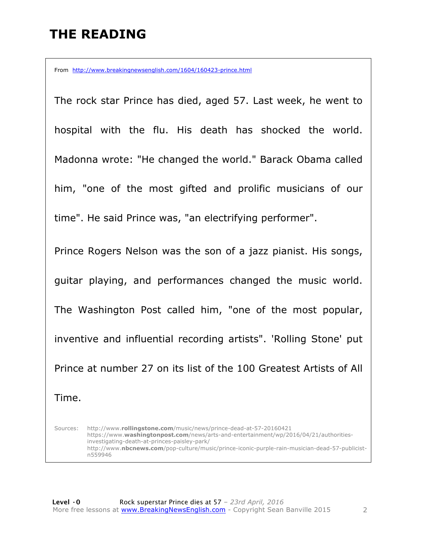# **THE READING**

From http://www.breakingnewsenglish.com/1604/160423-prince.html

The rock star Prince has died, aged 57. Last week, he went to hospital with the flu. His death has shocked the world. Madonna wrote: "He changed the world." Barack Obama called him, "one of the most gifted and prolific musicians of our time". He said Prince was, "an electrifying performer".

Prince Rogers Nelson was the son of a jazz pianist. His songs, guitar playing, and performances changed the music world. The Washington Post called him, "one of the most popular, inventive and influential recording artists". 'Rolling Stone' put Prince at number 27 on its list of the 100 Greatest Artists of All Time.

Sources: http://www.**rollingstone.com**/music/news/prince-dead-at-57-20160421 https://www.**washingtonpost.com**/news/arts-and-entertainment/wp/2016/04/21/authoritiesinvestigating-death-at-princes-paisley-park/ http://www.**nbcnews.com**/pop-culture/music/prince-iconic-purple-rain-musician-dead-57-publicistn559946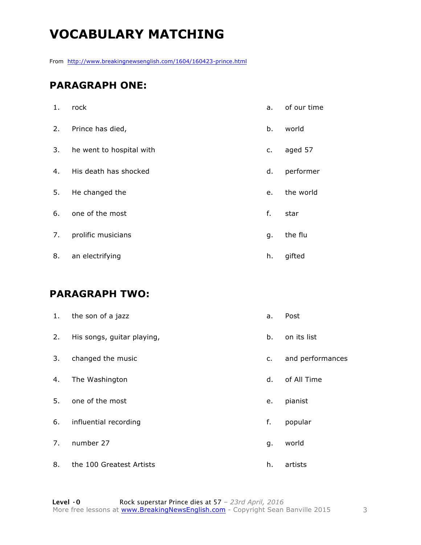# **VOCABULARY MATCHING**

From http://www.breakingnewsenglish.com/1604/160423-prince.html

#### **PARAGRAPH ONE:**

| 1. | rock                     | a. | of our time |
|----|--------------------------|----|-------------|
| 2. | Prince has died,         | b. | world       |
| 3. | he went to hospital with | c. | aged 57     |
| 4. | His death has shocked    | d. | performer   |
| 5. | He changed the           | e. | the world   |
| 6. | one of the most          | f. | star        |
| 7. | prolific musicians       | g. | the flu     |
| 8. | an electrifying          | h. | gifted      |

#### **PARAGRAPH TWO:**

| 1. | the son of a jazz          | a. | Post             |
|----|----------------------------|----|------------------|
| 2. | His songs, guitar playing, | b. | on its list      |
| 3. | changed the music          | c. | and performances |
| 4. | The Washington             | d. | of All Time      |
| 5. | one of the most            | e. | pianist          |
| 6. | influential recording      | f. | popular          |
| 7. | number 27                  | g. | world            |
| 8. | the 100 Greatest Artists   | h. | artists          |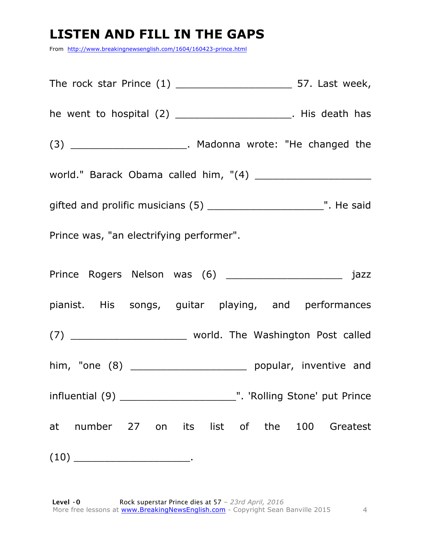# **LISTEN AND FILL IN THE GAPS**

From http://www.breakingnewsenglish.com/1604/160423-prince.html

| he went to hospital $(2)$ _______________________. His death has  |  |  |  |
|-------------------------------------------------------------------|--|--|--|
| $(3)$ _________________________. Madonna wrote: "He changed the   |  |  |  |
|                                                                   |  |  |  |
|                                                                   |  |  |  |
| Prince was, "an electrifying performer".                          |  |  |  |
|                                                                   |  |  |  |
| pianist. His songs, guitar playing, and performances              |  |  |  |
| (7) ___________________________ world. The Washington Post called |  |  |  |
|                                                                   |  |  |  |
|                                                                   |  |  |  |
| at number 27 on its list of the 100 Greatest                      |  |  |  |
|                                                                   |  |  |  |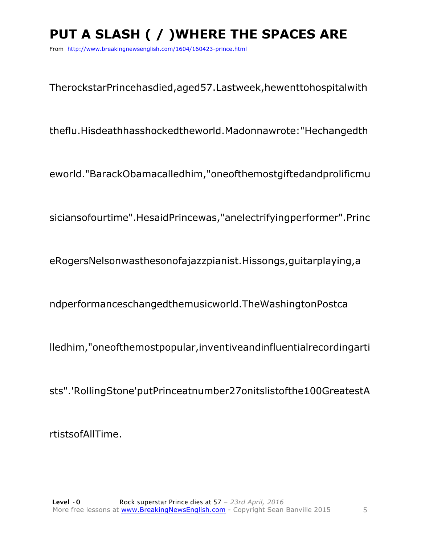# **PUT A SLASH ( / )WHERE THE SPACES ARE**

From http://www.breakingnewsenglish.com/1604/160423-prince.html

TherockstarPrincehasdied,aged57.Lastweek,hewenttohospitalwith

theflu.Hisdeathhasshockedtheworld.Madonnawrote:"Hechangedth

eworld."BarackObamacalledhim,"oneofthemostgiftedandprolificmu

siciansofourtime".HesaidPrincewas,"anelectrifyingperformer".Princ

eRogersNelsonwasthesonofajazzpianist.Hissongs,guitarplaying,a

ndperformanceschangedthemusicworld.TheWashingtonPostca

lledhim,"oneofthemostpopular,inventiveandinfluentialrecordingarti

sts".'RollingStone'putPrinceatnumber27onitslistofthe100GreatestA

rtistsofAllTime.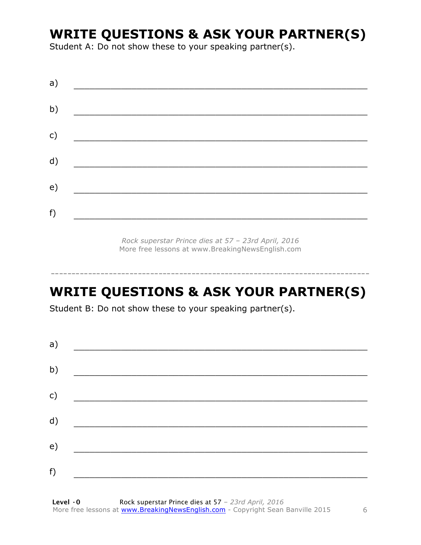### **WRITE QUESTIONS & ASK YOUR PARTNER(S)**

Student A: Do not show these to your speaking partner(s).

| a) |  |  |
|----|--|--|
| b) |  |  |
| c) |  |  |
| d) |  |  |
| e) |  |  |
| f) |  |  |
|    |  |  |

*Rock superstar Prince dies at 57 – 23rd April, 2016* More free lessons at www.BreakingNewsEnglish.com

# **WRITE QUESTIONS & ASK YOUR PARTNER(S)**

-----------------------------------------------------------------------------

Student B: Do not show these to your speaking partner(s).

| a) |  |  |
|----|--|--|
| b) |  |  |
| c) |  |  |
| d) |  |  |
| e) |  |  |
| f) |  |  |
|    |  |  |